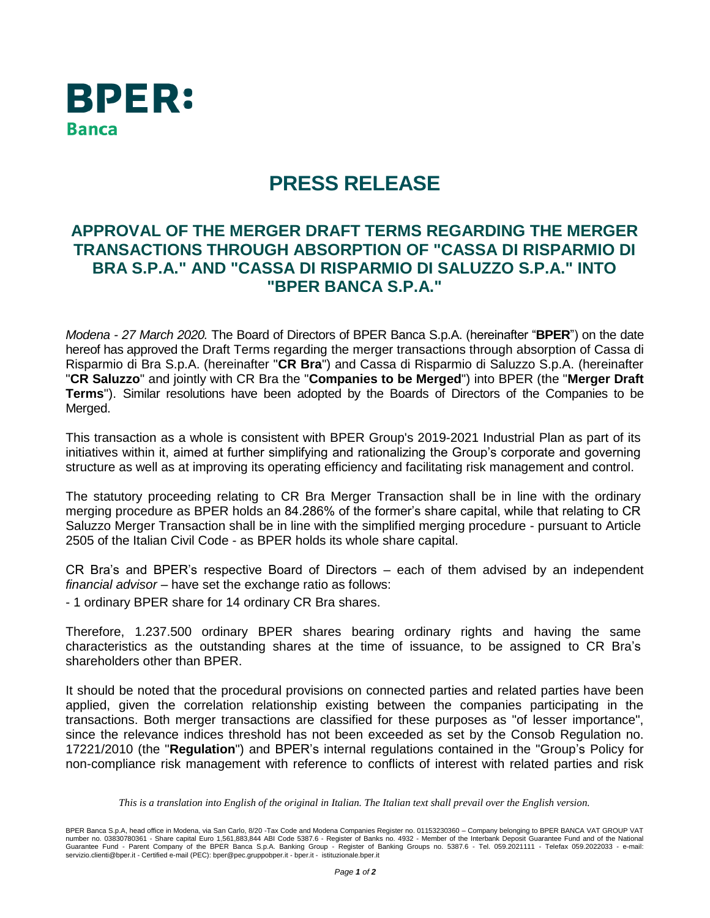

## **PRESS RELEASE**

## **APPROVAL OF THE MERGER DRAFT TERMS REGARDING THE MERGER TRANSACTIONS THROUGH ABSORPTION OF "CASSA DI RISPARMIO DI BRA S.P.A." AND "CASSA DI RISPARMIO DI SALUZZO S.P.A." INTO "BPER BANCA S.P.A."**

*Modena - 27 March 2020.* The Board of Directors of BPER Banca S.p.A. (hereinafter "**BPER**") on the date hereof has approved the Draft Terms regarding the merger transactions through absorption of Cassa di Risparmio di Bra S.p.A. (hereinafter "**CR Bra**") and Cassa di Risparmio di Saluzzo S.p.A. (hereinafter "**CR Saluzzo**" and jointly with CR Bra the "**Companies to be Merged**") into BPER (the "**Merger Draft Terms**"). Similar resolutions have been adopted by the Boards of Directors of the Companies to be Merged.

This transaction as a whole is consistent with BPER Group's 2019-2021 Industrial Plan as part of its initiatives within it, aimed at further simplifying and rationalizing the Group's corporate and governing structure as well as at improving its operating efficiency and facilitating risk management and control.

The statutory proceeding relating to CR Bra Merger Transaction shall be in line with the ordinary merging procedure as BPER holds an 84.286% of the former's share capital, while that relating to CR Saluzzo Merger Transaction shall be in line with the simplified merging procedure - pursuant to Article 2505 of the Italian Civil Code - as BPER holds its whole share capital.

CR Bra's and BPER's respective Board of Directors – each of them advised by an independent *financial advisor* – have set the exchange ratio as follows:

- 1 ordinary BPER share for 14 ordinary CR Bra shares.

Therefore, 1.237.500 ordinary BPER shares bearing ordinary rights and having the same characteristics as the outstanding shares at the time of issuance, to be assigned to CR Bra's shareholders other than BPER.

It should be noted that the procedural provisions on connected parties and related parties have been applied, given the correlation relationship existing between the companies participating in the transactions. Both merger transactions are classified for these purposes as "of lesser importance", since the relevance indices threshold has not been exceeded as set by the Consob Regulation no. 17221/2010 (the "**Regulation**") and BPER's internal regulations contained in the "Group's Policy for non-compliance risk management with reference to conflicts of interest with related parties and risk

*This is a translation into English of the original in Italian. The Italian text shall prevail over the English version.*

BPER Banca S.p.A, head office in Modena, via San Carlo, 8/20 -Tax Code and Modena Companies Register no. 01153230360 – Company belonging to BPER BANCA VAT GROUP VAT<br>number no. 03830780361 - Share capital Euro 1,561,883,844 Guarantee Fund - Parent Company of the BPER Banca S.p.A. Banking Group - Register of Banking Groups no. 5387.6 - Tel. 059.2021111 - Telefax 059.2022033 - e-mail:<br>servizio.clienti@bper.it - Certified e-mail (PEC): bper@pec.